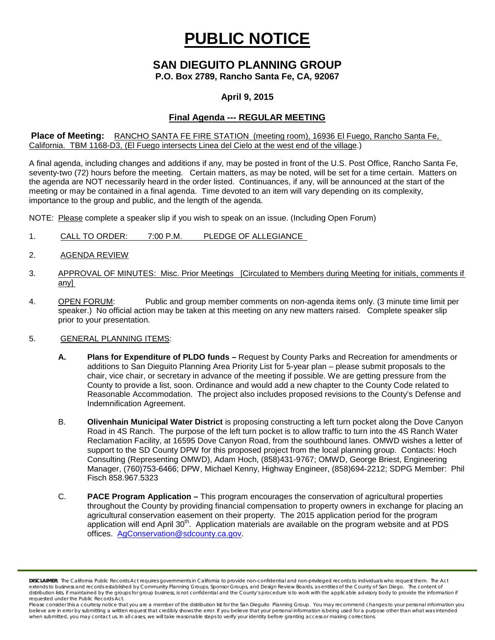# **PUBLIC NOTICE**

### **SAN DIEGUITO PLANNING GROUP P.O. Box 2789, Rancho Santa Fe, CA, 92067**

# **April 9, 2015**

## **Final Agenda --- REGULAR MEETING**

#### **Place of Meeting:** RANCHO SANTA FE FIRE STATION (meeting room), 16936 El Fuego, Rancho Santa Fe, California. TBM 1168-D3, (El Fuego intersects Linea del Cielo at the west end of the village.)

A final agenda, including changes and additions if any, may be posted in front of the U.S. Post Office, Rancho Santa Fe, seventy-two (72) hours before the meeting. Certain matters, as may be noted, will be set for a time certain. Matters on the agenda are NOT necessarily heard in the order listed. Continuances, if any, will be announced at the start of the meeting or may be contained in a final agenda. Time devoted to an item will vary depending on its complexity, importance to the group and public, and the length of the agenda.

NOTE: Please complete a speaker slip if you wish to speak on an issue. (Including Open Forum)

- 1. CALL TO ORDER: 7:00 P.M. PLEDGE OF ALLEGIANCE
- 2. AGENDA REVIEW
- 3. APPROVAL OF MINUTES: Misc. Prior Meetings [Circulated to Members during Meeting for initials, comments if any]
- 4. OPEN FORUM: Public and group member comments on non-agenda items only. (3 minute time limit per speaker.) No official action may be taken at this meeting on any new matters raised. Complete speaker slip prior to your presentation.

#### 5. GENERAL PLANNING ITEMS:

- **A. Plans for Expenditure of PLDO funds –** Request by County Parks and Recreation for amendments or additions to San Dieguito Planning Area Priority List for 5-year plan – please submit proposals to the chair, vice chair, or secretary in advance of the meeting if possible. We are getting pressure from the County to provide a list, soon. Ordinance and would add a new chapter to the County Code related to Reasonable Accommodation. The project also includes proposed revisions to the County's Defense and Indemnification Agreement.
- B. **Olivenhain Municipal Water District** is proposing constructing a left turn pocket along the Dove Canyon Road in 4S Ranch. The purpose of the left turn pocket is to allow traffic to turn into the 4S Ranch Water Reclamation Facility, at 16595 Dove Canyon Road, from the southbound lanes. OMWD wishes a letter of support to the SD County DPW for this proposed project from the local planning group. Contacts: Hoch Consulting (Representing OMWD), Adam Hoch, (858)431-9767; OMWD, George Briest, Engineering Manager, (760)753-6466; DPW, Michael Kenny, Highway Engineer, (858)694-2212; SDPG Member: Phil Fisch 858.967.5323
- C. **PACE Program Application –** This program encourages the conservation of agricultural properties throughout the County by providing financial compensation to property owners in exchange for placing an agricultural conservation easement on their property. The 2015 application period for the program application will end April 30<sup>th</sup>. Application materials are available on the program website and at PDS offices. [AgConservation@sdcounty.ca.gov.](mailto:AgConservation@sdcounty.ca.gov)

*DISCLAIMER; The California Public Records Act requires governments in California to provide non-confidential and non-privileged records to individuals who request them. The Act extends to business and records established by Community Planning Groups, Sponsor Groups, and Design Review Boards, as entities of the County of San Diego. The content of*  distribution lists, if maintained by the groups for group business, is not confidential and the County's procedure is to work with the applicable advisory body to provide the information if *requested under the Public Records Act.*

Please consider this a courtesy notice that you are a member of the distribution list for the San Dieguito Planning Group. You may recommend changes to your personal information you believe are in error by submitting a written request that credibly shows the error. If you believe that your personal information is being used for a purpose other than what was intended<br>when submitted, you may contact us.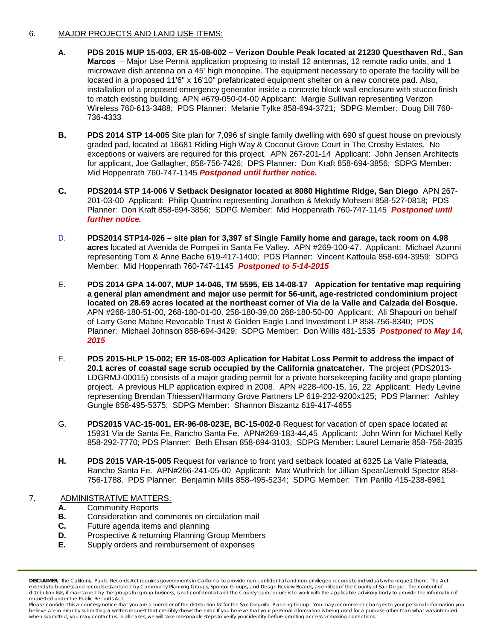#### 6. MAJOR PROJECTS AND LAND USE ITEMS:

- **A. PDS 2015 MUP 15-003, ER 15-08-002 – Verizon Double Peak located at 21230 Questhaven Rd., San Marcos** – Major Use Permit application proposing to install 12 antennas, 12 remote radio units, and 1 microwave dish antenna on a 45' high monopine. The equipment necessary to operate the facility will be located in a proposed 11'6" x 16'10" prefabricated equipment shelter on a new concrete pad. Also, installation of a proposed emergency generator inside a concrete block wall enclosure with stucco finish to match existing building. APN #679-050-04-00 Applicant: Margie Sullivan representing Verizon Wireless 760-613-3488; PDS Planner: Melanie Tylke 858-694-3721; SDPG Member: Doug Dill 760- 736-4333
- **B. PDS 2014 STP 14-005** Site plan for 7,096 sf single family dwelling with 690 sf guest house on previously graded pad, located at 16681 Riding High Way & Coconut Grove Court in The Crosby Estates. No exceptions or waivers are required for this project. APN 267-201-14 Applicant: John Jensen Architects for applicant, Joe Gallagher, 858-756-7426; DPS Planner: Don Kraft 858-694-3856; SDPG Member: Mid Hoppenrath 760-747-1145 *Postponed until further notice.*
- **C. PDS2014 STP 14-006 V Setback Designator located at 8080 Hightime Ridge, San Diego** APN 267- 201-03-00 Applicant: Philip Quatrino representing Jonathon & Melody Mohseni 858-527-0818; PDS Planner: Don Kraft 858-694-3856; SDPG Member: Mid Hoppenrath 760-747-1145 *Postponed until further notice.*
- D. **PDS2014 STP14-026 – site plan for 3,397 sf Single Family home and garage, tack room on 4.98 acres** located at Avenida de Pompeii in Santa Fe Valley. APN #269-100-47. Applicant: Michael Azurmi representing Tom & Anne Bache 619-417-1400; PDS Planner: Vincent Kattoula 858-694-3959; SDPG Member: Mid Hoppenrath 760-747-1145 *Postponed to 5-14-2015*
- E. **PDS 2014 GPA 14-007, MUP 14-046, TM 5595, EB 14-08-17 Appication for tentative map requiring a general plan amendment and major use permit for 56-unit, age-restricted condominium project located on 28.69 acres located at the northeast corner of Via de la Valle and Calzada del Bosque.**  APN #268-180-51-00, 268-180-01-00, 258-180-39,00 268-180-50-00 Applicant: Ali Shapouri on behalf of Larry Gene Mabee Revocable Trust & Golden Eagle Land Investment LP 858-756-8340; PDS Planner: Michael Johnson 858-694-3429; SDPG Member: Don Willis 481-1535 *Postponed to May 14, 2015*
- F. **PDS 2015-HLP 15-002; ER 15-08-003 Aplication for Habitat Loss Permit to address the impact of 20.1 acres of coastal sage scrub occupied by the California gnatcatcher.** The project (PDS2013- LDGRMJ-00015) consists of a major grading permit for a private horsekeeping facility and grape planting project. A previous HLP application expired in 2008. APN #228-400-15, 16, 22 Applicant: Hedy Levine representing Brendan Thiessen/Harmony Grove Partners LP 619-232-9200x125; PDS Planner: Ashley Gungle 858-495-5375; SDPG Member: Shannon Biszantz 619-417-4655
- G. **PDS2015 VAC-15-001, ER-96-08-023E, BC-15-002-0** Request for vacation of open space located at 15931 Via de Santa Fe, Rancho Santa Fe. APN#269-183-44,45 Applicant: John Winn for Michael Kelly 858-292-7770; PDS Planner: Beth Ehsan 858-694-3103; SDPG Member: Laurel Lemarie 858-756-2835
- **H. PDS 2015 VAR-15-005** Request for variance to front yard setback located at 6325 La Valle Plateada, Rancho Santa Fe. APN#266-241-05-00 Applicant: Max Wuthrich for Jillian Spear/Jerrold Spector 858- 756-1788. PDS Planner: Benjamin Mills 858-495-5234; SDPG Member: Tim Parillo 415-238-6961

#### 7. ADMINISTRATIVE MATTERS:

- **A.** Community Reports<br>**B.** Consideration and c
- **B.** Consideration and comments on circulation mail<br>**C.** Future agenda items and planning
- **C.** Future agenda items and planning
- **D.** Prospective & returning Planning Group Members<br>**E.** Supply orders and reimbursement of expenses
- **E.** Supply orders and reimbursement of expenses

*DISCLAIMER; The California Public Records Act requires governments in California to provide non-confidential and non-privileged records to individuals who request them. The Act extends to business and records established by Community Planning Groups, Sponsor Groups, and Design Review Boards, as entities of the County of San Diego. The content of*  distribution lists, if maintained by the groups for group business, is not confidential and the County's procedure is to work with the applicable advisory body to provide the information if *requested under the Public Records Act.*

Please consider this a courtesy notice that you are a member of the distribution list for the San Dieguito Planning Group. You may recommend changes to your personal information you believe are in error by submitting a written request that credibly shows the error. If you believe that your personal information is being used for a purpose other than what was intended<br>when submitted, you may contact us.